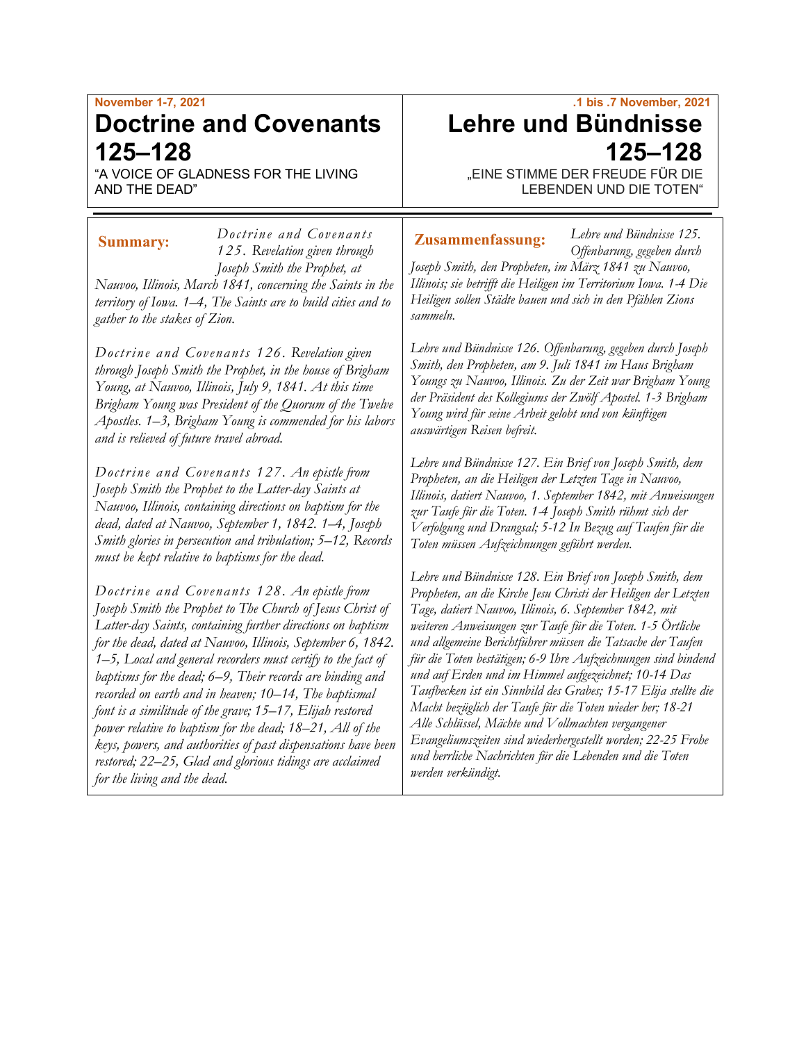# **November 1-7, 2021 Doctrine and Covenants 125–128**

"A VOICE OF GLADNESS FOR THE LIVING AND THE DEAD"

*125. Revelation given through Joseph Smith the Prophet, at Nauvoo, Illinois, March 1841, concerning the Saints in the territory of Iowa. 1–4, The Saints are to build cities and to gather to the stakes of Zion.*

*Doctrine a nd Covenants* 

*Doctrine and Covenants 126. Revelation given through Joseph Smith the Prophet, in the house of Brigham Young, at Nauvoo, Illinois, July 9, 1841. At this time Brigham Young was President of the Quorum of the Twelve Apostles. 1–3, Brigham Young is commended for his labors and is relieved of future travel abroad.*

*Doctrine and Covenants 127. An epistle from Joseph Smith the Prophet to the Latter-day Saints at Nauvoo, Illinois, containing directions on baptism for the dead, dated at Nauvoo, September 1, 1842. 1–4, Joseph Smith glories in persecution and tribulation; 5–12, Records must be kept relative to baptisms for the dead.*

*Doctrine and Covenants 128. An epistle from Joseph Smith the Prophet to The Church of Jesus Christ of Latter-day Saints, containing further directions on baptism for the dead, dated at Nauvoo, Illinois, September 6, 1842. 1–5, Local and general recorders must certify to the fact of baptisms for the dead; 6–9, Their records are binding and recorded on earth and in heaven; 10–14, The baptismal font is a similitude of the grave; 15–17, Elijah restored power relative to baptism for the dead; 18–21, All of the keys, powers, and authorities of past dispensations have been restored; 22–25, Glad and glorious tidings are acclaimed for the living and the dead.*

# **.1 bis .7 November, 2021 Lehre und Bündnisse 125–128**

"EINE STIMME DER FREUDE FÜR DIE LEBENDEN UND DIE TOTEN"

*Lehre und Bündnisse 125.*

#### **Summary: Zusammenfassung:**

*Offenbarung, gegeben durch Joseph Smith, den Propheten, im März 1841 zu Nauvoo, Illinois; sie betrifft die Heiligen im Territorium Iowa. 1-4 Die Heiligen sollen Städte bauen und sich in den Pfählen Zions sammeln.*

*Lehre und Bündnisse 126. Offenbarung, gegeben durch Joseph Smith, den Propheten, am 9. Juli 1841 im Haus Brigham Youngs zu Nauvoo, Illinois. Zu der Zeit war Brigham Young der Präsident des Kollegiums der Zwölf Apostel. 1-3 Brigham Young wird für seine Arbeit gelobt und von künftigen auswärtigen Reisen befreit.*

*Lehre und Bündnisse 127. Ein Brief von Joseph Smith, dem Propheten, an die Heiligen der Letzten Tage in Nauvoo, Illinois, datiert Nauvoo, 1. September 1842, mit Anweisungen zur Taufe für die Toten. 1-4 Joseph Smith rühmt sich der Verfolgung und Drangsal; 5-12 In Bezug auf Taufen für die Toten müssen Aufzeichnungen geführt werden.*

*Lehre und Bündnisse 128. Ein Brief von Joseph Smith, dem Propheten, an die Kirche Jesu Christi der Heiligen der Letzten Tage, datiert Nauvoo, Illinois, 6. September 1842, mit weiteren Anweisungen zur Taufe für die Toten. 1-5 Örtliche und allgemeine Berichtführer müssen die Tatsache der Taufen für die Toten bestätigen; 6-9 Ihre Aufzeichnungen sind bindend und auf Erden und im Himmel aufgezeichnet; 10-14 Das Taufbecken ist ein Sinnbild des Grabes; 15-17 Elija stellte die Macht bezüglich der Taufe für die Toten wieder her; 18-21 Alle Schlüssel, Mächte und Vollmachten vergangener Evangeliumszeiten sind wiederhergestellt worden; 22-25 Frohe und herrliche Nachrichten für die Lebenden und die Toten werden verkündigt.*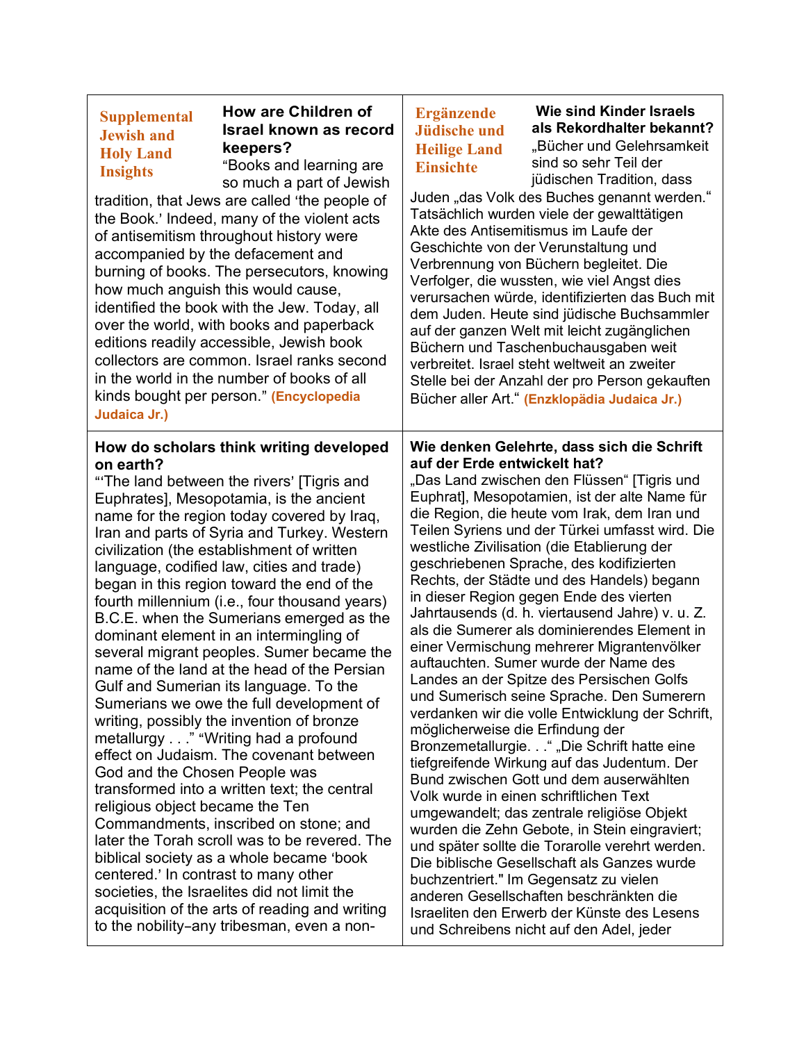## **Supplemental Jewish and Holy Land Insights**

# **How are Children of Israel known as record keepers?**

"Books and learning are so much a part of Jewish

tradition, that Jews are called 'the people of the Book.' Indeed, many of the violent acts of antisemitism throughout history were accompanied by the defacement and burning of books. The persecutors, knowing how much anguish this would cause, identified the book with the Jew. Today, all over the world, with books and paperback editions readily accessible, Jewish book collectors are common. Israel ranks second in the world in the number of books of all kinds bought per person.@ **(Encyclopedia Judaica Jr.)**

#### **How do scholars think writing developed on earth?**

"The land between the rivers' [Tigris and Euphrates], Mesopotamia, is the ancient name for the region today covered by Iraq, Iran and parts of Syria and Turkey. Western civilization (the establishment of written language, codified law, cities and trade) began in this region toward the end of the fourth millennium (i.e., four thousand years) B.C.E. when the Sumerians emerged as the dominant element in an intermingling of several migrant peoples. Sumer became the name of the land at the head of the Persian Gulf and Sumerian its language. To the Sumerians we owe the full development of writing, possibly the invention of bronze metallurgy . . ." "Writing had a profound effect on Judaism. The covenant between God and the Chosen People was transformed into a written text; the central religious object became the Ten Commandments, inscribed on stone; and later the Torah scroll was to be revered. The biblical society as a whole became 'book centered.' In contrast to many other societies, the Israelites did not limit the acquisition of the arts of reading and writing to the nobility-any tribesman, even a non-

# **Ergänzende Jüdische und Heilige Land Einsichte**

**Wie sind Kinder Israels als Rekordhalter bekannt?** "Bücher und Gelehrsamkeit sind so sehr Teil der jüdischen Tradition, dass

Juden "das Volk des Buches genannt werden." Tatsächlich wurden viele der gewalttätigen Akte des Antisemitismus im Laufe der Geschichte von der Verunstaltung und Verbrennung von Büchern begleitet. Die Verfolger, die wussten, wie viel Angst dies verursachen würde, identifizierten das Buch mit dem Juden. Heute sind jüdische Buchsammler auf der ganzen Welt mit leicht zugänglichen Büchern und Taschenbuchausgaben weit verbreitet. Israel steht weltweit an zweiter Stelle bei der Anzahl der pro Person gekauften Bücher aller Art." **(Enzklopädia Judaica Jr.)**

### **Wie denken Gelehrte, dass sich die Schrift auf der Erde entwickelt hat?**

"Das Land zwischen den Flüssen" [Tigris und Euphrat], Mesopotamien, ist der alte Name für die Region, die heute vom Irak, dem Iran und Teilen Syriens und der Türkei umfasst wird. Die westliche Zivilisation (die Etablierung der geschriebenen Sprache, des kodifizierten Rechts, der Städte und des Handels) begann in dieser Region gegen Ende des vierten Jahrtausends (d. h. viertausend Jahre) v. u. Z. als die Sumerer als dominierendes Element in einer Vermischung mehrerer Migrantenvölker auftauchten. Sumer wurde der Name des Landes an der Spitze des Persischen Golfs und Sumerisch seine Sprache. Den Sumerern verdanken wir die volle Entwicklung der Schrift, möglicherweise die Erfindung der Bronzemetallurgie. . . " "Die Schrift hatte eine tiefgreifende Wirkung auf das Judentum. Der Bund zwischen Gott und dem auserwählten Volk wurde in einen schriftlichen Text umgewandelt; das zentrale religiöse Objekt wurden die Zehn Gebote, in Stein eingraviert; und später sollte die Torarolle verehrt werden. Die biblische Gesellschaft als Ganzes wurde buchzentriert." Im Gegensatz zu vielen anderen Gesellschaften beschränkten die Israeliten den Erwerb der Künste des Lesens und Schreibens nicht auf den Adel, jeder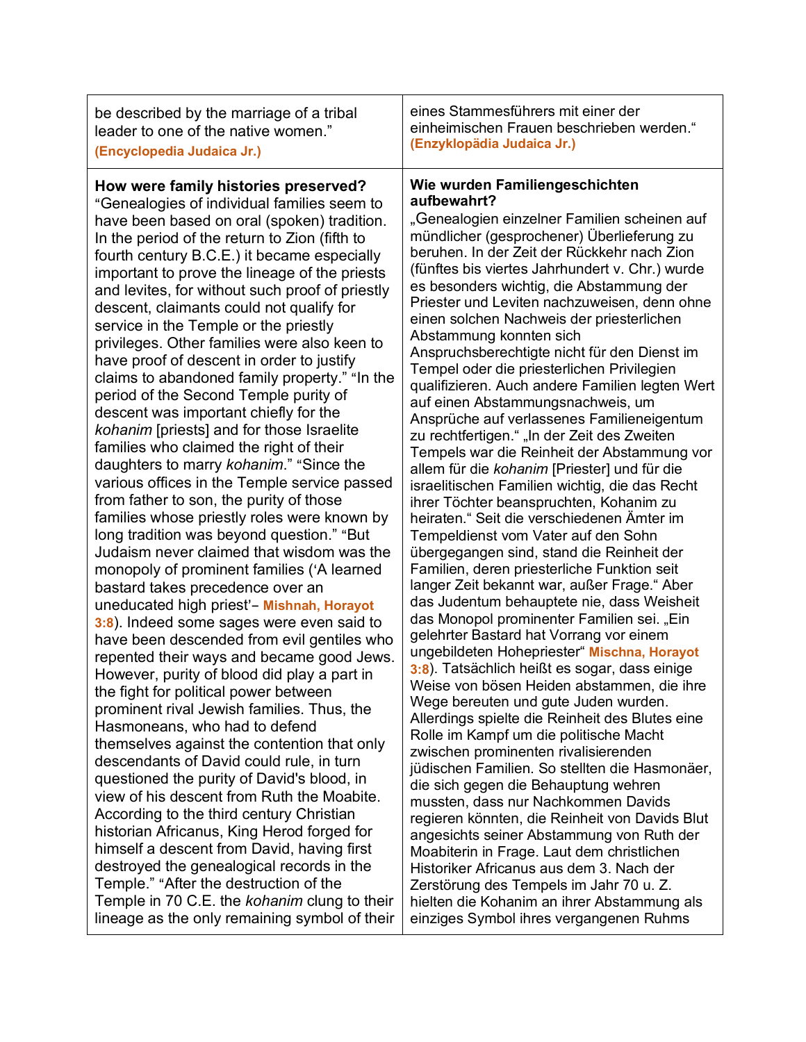| be described by the marriage of a tribal<br>leader to one of the native women."<br>(Encyclopedia Judaica Jr.)                                                                                                                                                                                                                                                                                                                                                                                                                                                                                                                                                                                                                                                                                                                                                                                                                                                                                                                                                                                                                                                                                                                                                                                                                                                                                                                                                                                                                                                                                                                                                           | eines Stammesführers mit einer der<br>einheimischen Frauen beschrieben werden."<br>(Enzyklopädia Judaica Jr.)                                                                                                                                                                                                                                                                                                                                                                                                                                                                                                                                                                                                                                                                                                                                                                                                                                                                                                                                                                                                                                                                                                                                                                                                                                                                                                                                                                                                                                                                                                                                                                                                                       |
|-------------------------------------------------------------------------------------------------------------------------------------------------------------------------------------------------------------------------------------------------------------------------------------------------------------------------------------------------------------------------------------------------------------------------------------------------------------------------------------------------------------------------------------------------------------------------------------------------------------------------------------------------------------------------------------------------------------------------------------------------------------------------------------------------------------------------------------------------------------------------------------------------------------------------------------------------------------------------------------------------------------------------------------------------------------------------------------------------------------------------------------------------------------------------------------------------------------------------------------------------------------------------------------------------------------------------------------------------------------------------------------------------------------------------------------------------------------------------------------------------------------------------------------------------------------------------------------------------------------------------------------------------------------------------|-------------------------------------------------------------------------------------------------------------------------------------------------------------------------------------------------------------------------------------------------------------------------------------------------------------------------------------------------------------------------------------------------------------------------------------------------------------------------------------------------------------------------------------------------------------------------------------------------------------------------------------------------------------------------------------------------------------------------------------------------------------------------------------------------------------------------------------------------------------------------------------------------------------------------------------------------------------------------------------------------------------------------------------------------------------------------------------------------------------------------------------------------------------------------------------------------------------------------------------------------------------------------------------------------------------------------------------------------------------------------------------------------------------------------------------------------------------------------------------------------------------------------------------------------------------------------------------------------------------------------------------------------------------------------------------------------------------------------------------|
| How were family histories preserved?<br>"Genealogies of individual families seem to<br>have been based on oral (spoken) tradition.<br>In the period of the return to Zion (fifth to<br>fourth century B.C.E.) it became especially<br>important to prove the lineage of the priests<br>and levites, for without such proof of priestly<br>descent, claimants could not qualify for<br>service in the Temple or the priestly<br>privileges. Other families were also keen to<br>have proof of descent in order to justify<br>claims to abandoned family property." "In the<br>period of the Second Temple purity of<br>descent was important chiefly for the<br>kohanim [priests] and for those Israelite<br>families who claimed the right of their<br>daughters to marry kohanim." "Since the<br>various offices in the Temple service passed<br>from father to son, the purity of those<br>families whose priestly roles were known by<br>long tradition was beyond question." "But<br>Judaism never claimed that wisdom was the<br>monopoly of prominent families ('A learned<br>bastard takes precedence over an<br>uneducated high priest'- Mishnah, Horayot<br>3:8). Indeed some sages were even said to<br>have been descended from evil gentiles who<br>repented their ways and became good Jews.<br>However, purity of blood did play a part in<br>the fight for political power between<br>prominent rival Jewish families. Thus, the<br>Hasmoneans, who had to defend<br>themselves against the contention that only<br>descendants of David could rule, in turn<br>questioned the purity of David's blood, in<br>view of his descent from Ruth the Moabite. | Wie wurden Familiengeschichten<br>aufbewahrt?<br>"Genealogien einzelner Familien scheinen auf<br>mündlicher (gesprochener) Überlieferung zu<br>beruhen. In der Zeit der Rückkehr nach Zion<br>(fünftes bis viertes Jahrhundert v. Chr.) wurde<br>es besonders wichtig, die Abstammung der<br>Priester und Leviten nachzuweisen, denn ohne<br>einen solchen Nachweis der priesterlichen<br>Abstammung konnten sich<br>Anspruchsberechtigte nicht für den Dienst im<br>Tempel oder die priesterlichen Privilegien<br>qualifizieren. Auch andere Familien legten Wert<br>auf einen Abstammungsnachweis, um<br>Ansprüche auf verlassenes Familieneigentum<br>zu rechtfertigen." "In der Zeit des Zweiten<br>Tempels war die Reinheit der Abstammung vor<br>allem für die kohanim [Priester] und für die<br>israelitischen Familien wichtig, die das Recht<br>ihrer Töchter beanspruchten, Kohanim zu<br>heiraten." Seit die verschiedenen Ämter im<br>Tempeldienst vom Vater auf den Sohn<br>übergegangen sind, stand die Reinheit der<br>Familien, deren priesterliche Funktion seit<br>langer Zeit bekannt war, außer Frage." Aber<br>das Judentum behauptete nie, dass Weisheit<br>das Monopol prominenter Familien sei. "Ein<br>gelehrter Bastard hat Vorrang vor einem<br>ungebildeten Hohepriester" Mischna, Horayot<br>3:8). Tatsächlich heißt es sogar, dass einige<br>Weise von bösen Heiden abstammen, die ihre<br>Wege bereuten und gute Juden wurden.<br>Allerdings spielte die Reinheit des Blutes eine<br>Rolle im Kampf um die politische Macht<br>zwischen prominenten rivalisierenden<br>jüdischen Familien. So stellten die Hasmonäer,<br>die sich gegen die Behauptung wehren<br>mussten, dass nur Nachkommen Davids |
| According to the third century Christian<br>historian Africanus, King Herod forged for                                                                                                                                                                                                                                                                                                                                                                                                                                                                                                                                                                                                                                                                                                                                                                                                                                                                                                                                                                                                                                                                                                                                                                                                                                                                                                                                                                                                                                                                                                                                                                                  | regieren könnten, die Reinheit von Davids Blut                                                                                                                                                                                                                                                                                                                                                                                                                                                                                                                                                                                                                                                                                                                                                                                                                                                                                                                                                                                                                                                                                                                                                                                                                                                                                                                                                                                                                                                                                                                                                                                                                                                                                      |
| himself a descent from David, having first                                                                                                                                                                                                                                                                                                                                                                                                                                                                                                                                                                                                                                                                                                                                                                                                                                                                                                                                                                                                                                                                                                                                                                                                                                                                                                                                                                                                                                                                                                                                                                                                                              | angesichts seiner Abstammung von Ruth der<br>Moabiterin in Frage. Laut dem christlichen                                                                                                                                                                                                                                                                                                                                                                                                                                                                                                                                                                                                                                                                                                                                                                                                                                                                                                                                                                                                                                                                                                                                                                                                                                                                                                                                                                                                                                                                                                                                                                                                                                             |
| destroyed the genealogical records in the                                                                                                                                                                                                                                                                                                                                                                                                                                                                                                                                                                                                                                                                                                                                                                                                                                                                                                                                                                                                                                                                                                                                                                                                                                                                                                                                                                                                                                                                                                                                                                                                                               | Historiker Africanus aus dem 3. Nach der                                                                                                                                                                                                                                                                                                                                                                                                                                                                                                                                                                                                                                                                                                                                                                                                                                                                                                                                                                                                                                                                                                                                                                                                                                                                                                                                                                                                                                                                                                                                                                                                                                                                                            |
| Temple." "After the destruction of the                                                                                                                                                                                                                                                                                                                                                                                                                                                                                                                                                                                                                                                                                                                                                                                                                                                                                                                                                                                                                                                                                                                                                                                                                                                                                                                                                                                                                                                                                                                                                                                                                                  | Zerstörung des Tempels im Jahr 70 u. Z.                                                                                                                                                                                                                                                                                                                                                                                                                                                                                                                                                                                                                                                                                                                                                                                                                                                                                                                                                                                                                                                                                                                                                                                                                                                                                                                                                                                                                                                                                                                                                                                                                                                                                             |
| Temple in 70 C.E. the kohanim clung to their                                                                                                                                                                                                                                                                                                                                                                                                                                                                                                                                                                                                                                                                                                                                                                                                                                                                                                                                                                                                                                                                                                                                                                                                                                                                                                                                                                                                                                                                                                                                                                                                                            | hielten die Kohanim an ihrer Abstammung als                                                                                                                                                                                                                                                                                                                                                                                                                                                                                                                                                                                                                                                                                                                                                                                                                                                                                                                                                                                                                                                                                                                                                                                                                                                                                                                                                                                                                                                                                                                                                                                                                                                                                         |
| lineage as the only remaining symbol of their                                                                                                                                                                                                                                                                                                                                                                                                                                                                                                                                                                                                                                                                                                                                                                                                                                                                                                                                                                                                                                                                                                                                                                                                                                                                                                                                                                                                                                                                                                                                                                                                                           | einziges Symbol ihres vergangenen Ruhms                                                                                                                                                                                                                                                                                                                                                                                                                                                                                                                                                                                                                                                                                                                                                                                                                                                                                                                                                                                                                                                                                                                                                                                                                                                                                                                                                                                                                                                                                                                                                                                                                                                                                             |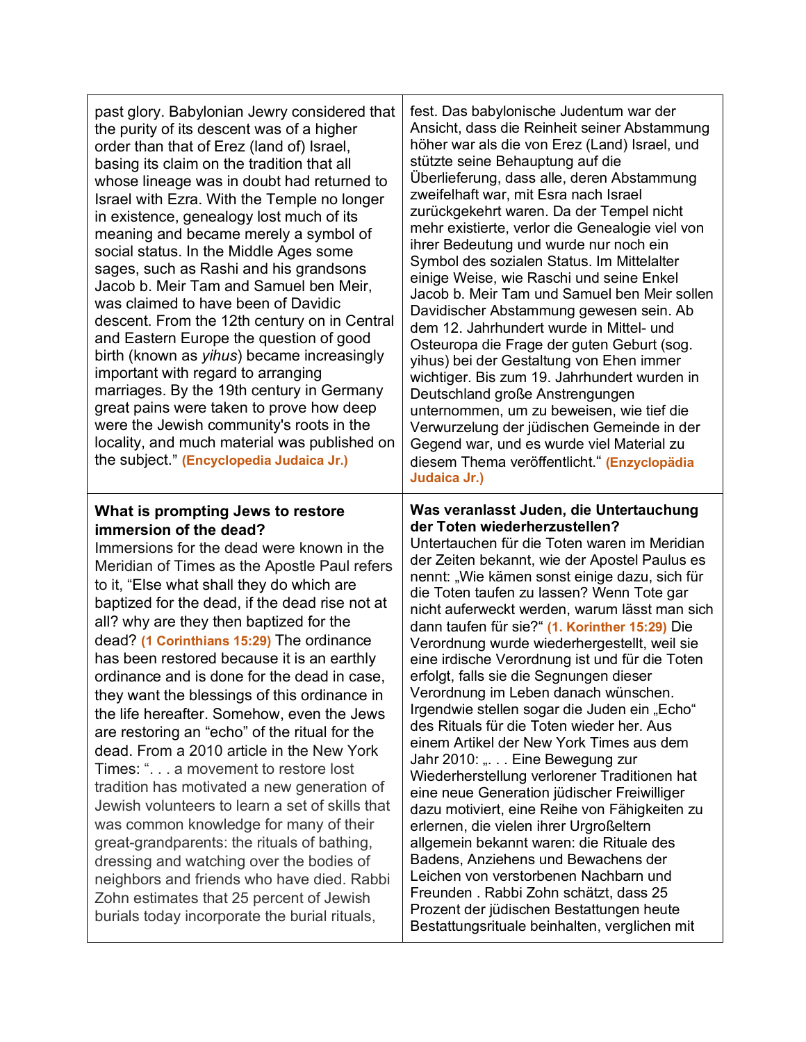| past glory. Babylonian Jewry considered that<br>the purity of its descent was of a higher<br>order than that of Erez (land of) Israel,<br>basing its claim on the tradition that all<br>whose lineage was in doubt had returned to<br>Israel with Ezra. With the Temple no longer<br>in existence, genealogy lost much of its<br>meaning and became merely a symbol of<br>social status. In the Middle Ages some<br>sages, such as Rashi and his grandsons<br>Jacob b. Meir Tam and Samuel ben Meir,<br>was claimed to have been of Davidic<br>descent. From the 12th century on in Central<br>and Eastern Europe the question of good<br>birth (known as <i>yihus</i> ) became increasingly<br>important with regard to arranging<br>marriages. By the 19th century in Germany<br>great pains were taken to prove how deep<br>were the Jewish community's roots in the<br>locality, and much material was published on<br>the subject." (Encyclopedia Judaica Jr.)                                                                                                | fest. Das babylonische Judentum war der<br>Ansicht, dass die Reinheit seiner Abstammung<br>höher war als die von Erez (Land) Israel, und<br>stützte seine Behauptung auf die<br>Überlieferung, dass alle, deren Abstammung<br>zweifelhaft war, mit Esra nach Israel<br>zurückgekehrt waren. Da der Tempel nicht<br>mehr existierte, verlor die Genealogie viel von<br>ihrer Bedeutung und wurde nur noch ein<br>Symbol des sozialen Status. Im Mittelalter<br>einige Weise, wie Raschi und seine Enkel<br>Jacob b. Meir Tam und Samuel ben Meir sollen<br>Davidischer Abstammung gewesen sein. Ab<br>dem 12. Jahrhundert wurde in Mittel- und<br>Osteuropa die Frage der guten Geburt (sog.<br>yihus) bei der Gestaltung von Ehen immer<br>wichtiger. Bis zum 19. Jahrhundert wurden in<br>Deutschland große Anstrengungen<br>unternommen, um zu beweisen, wie tief die<br>Verwurzelung der jüdischen Gemeinde in der<br>Gegend war, und es wurde viel Material zu<br>diesem Thema veröffentlicht." (Enzyclopädia<br>Judaica Jr.)                                                                                                                                                                     |
|--------------------------------------------------------------------------------------------------------------------------------------------------------------------------------------------------------------------------------------------------------------------------------------------------------------------------------------------------------------------------------------------------------------------------------------------------------------------------------------------------------------------------------------------------------------------------------------------------------------------------------------------------------------------------------------------------------------------------------------------------------------------------------------------------------------------------------------------------------------------------------------------------------------------------------------------------------------------------------------------------------------------------------------------------------------------|-------------------------------------------------------------------------------------------------------------------------------------------------------------------------------------------------------------------------------------------------------------------------------------------------------------------------------------------------------------------------------------------------------------------------------------------------------------------------------------------------------------------------------------------------------------------------------------------------------------------------------------------------------------------------------------------------------------------------------------------------------------------------------------------------------------------------------------------------------------------------------------------------------------------------------------------------------------------------------------------------------------------------------------------------------------------------------------------------------------------------------------------------------------------------------------------------------|
| What is prompting Jews to restore<br>immersion of the dead?<br>Immersions for the dead were known in the<br>Meridian of Times as the Apostle Paul refers<br>to it, "Else what shall they do which are<br>baptized for the dead, if the dead rise not at<br>all? why are they then baptized for the<br>dead? (1 Corinthians 15:29) The ordinance<br>has been restored because it is an earthly<br>ordinance and is done for the dead in case,<br>they want the blessings of this ordinance in<br>the life hereafter. Somehow, even the Jews<br>are restoring an "echo" of the ritual for the<br>dead. From a 2010 article in the New York<br>Times: ". a movement to restore lost<br>tradition has motivated a new generation of<br>Jewish volunteers to learn a set of skills that<br>was common knowledge for many of their<br>great-grandparents: the rituals of bathing,<br>dressing and watching over the bodies of<br>neighbors and friends who have died. Rabbi<br>Zohn estimates that 25 percent of Jewish<br>burials today incorporate the burial rituals, | Was veranlasst Juden, die Untertauchung<br>der Toten wiederherzustellen?<br>Untertauchen für die Toten waren im Meridian<br>der Zeiten bekannt, wie der Apostel Paulus es<br>nennt: "Wie kämen sonst einige dazu, sich für<br>die Toten taufen zu lassen? Wenn Tote gar<br>nicht auferweckt werden, warum lässt man sich<br>dann taufen für sie?" (1. Korinther 15:29) Die<br>Verordnung wurde wiederhergestellt, weil sie<br>eine irdische Verordnung ist und für die Toten<br>erfolgt, falls sie die Segnungen dieser<br>Verordnung im Leben danach wünschen.<br>Irgendwie stellen sogar die Juden ein "Echo"<br>des Rituals für die Toten wieder her. Aus<br>einem Artikel der New York Times aus dem<br>Jahr 2010: " Eine Bewegung zur<br>Wiederherstellung verlorener Traditionen hat<br>eine neue Generation jüdischer Freiwilliger<br>dazu motiviert, eine Reihe von Fähigkeiten zu<br>erlernen, die vielen ihrer Urgroßeltern<br>allgemein bekannt waren: die Rituale des<br>Badens, Anziehens und Bewachens der<br>Leichen von verstorbenen Nachbarn und<br>Freunden. Rabbi Zohn schätzt, dass 25<br>Prozent der jüdischen Bestattungen heute<br>otottungorituale hojnholton, vergliehen mit |

Prozent der jüdischen Bestattungen heute Bestattungsrituale beinhalten, verglichen mit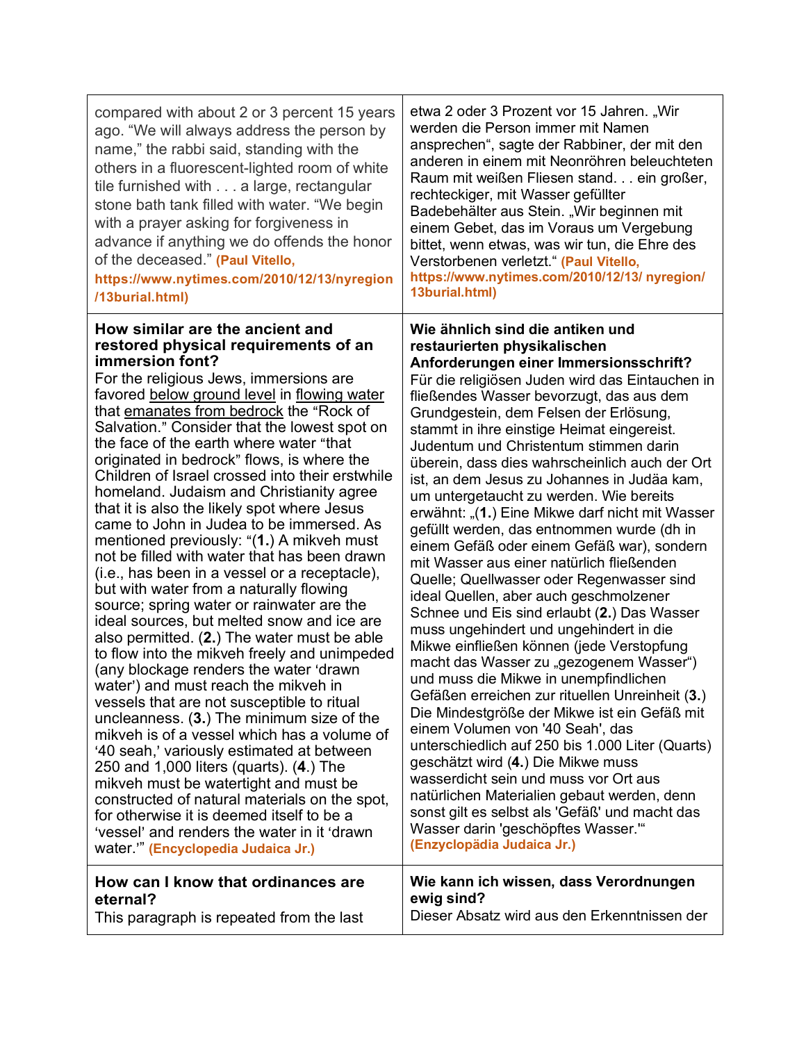| compared with about 2 or 3 percent 15 years<br>ago. "We will always address the person by<br>name," the rabbi said, standing with the<br>others in a fluorescent-lighted room of white<br>tile furnished with a large, rectangular<br>stone bath tank filled with water. "We begin<br>with a prayer asking for forgiveness in<br>advance if anything we do offends the honor<br>of the deceased." (Paul Vitello,<br>https://www.nytimes.com/2010/12/13/nyregion<br>/13burial.html)                                                                                                                                                                                                                                                                                                                                                                                                                                                                                                                                                                                                                                                                                                                                                                                                                                                                                                                                                                                                                     | etwa 2 oder 3 Prozent vor 15 Jahren. "Wir<br>werden die Person immer mit Namen<br>ansprechen", sagte der Rabbiner, der mit den<br>anderen in einem mit Neonröhren beleuchteten<br>Raum mit weißen Fliesen stand ein großer,<br>rechteckiger, mit Wasser gefüllter<br>Badebehälter aus Stein. "Wir beginnen mit<br>einem Gebet, das im Voraus um Vergebung<br>bittet, wenn etwas, was wir tun, die Ehre des<br>Verstorbenen verletzt." (Paul Vitello,<br>https://www.nytimes.com/2010/12/13/ nyregion/<br>13burial.html)                                                                                                                                                                                                                                                                                                                                                                                                                                                                                                                                                                                                                                                                                                                                                                                                                                                                                                                              |
|--------------------------------------------------------------------------------------------------------------------------------------------------------------------------------------------------------------------------------------------------------------------------------------------------------------------------------------------------------------------------------------------------------------------------------------------------------------------------------------------------------------------------------------------------------------------------------------------------------------------------------------------------------------------------------------------------------------------------------------------------------------------------------------------------------------------------------------------------------------------------------------------------------------------------------------------------------------------------------------------------------------------------------------------------------------------------------------------------------------------------------------------------------------------------------------------------------------------------------------------------------------------------------------------------------------------------------------------------------------------------------------------------------------------------------------------------------------------------------------------------------|------------------------------------------------------------------------------------------------------------------------------------------------------------------------------------------------------------------------------------------------------------------------------------------------------------------------------------------------------------------------------------------------------------------------------------------------------------------------------------------------------------------------------------------------------------------------------------------------------------------------------------------------------------------------------------------------------------------------------------------------------------------------------------------------------------------------------------------------------------------------------------------------------------------------------------------------------------------------------------------------------------------------------------------------------------------------------------------------------------------------------------------------------------------------------------------------------------------------------------------------------------------------------------------------------------------------------------------------------------------------------------------------------------------------------------------------------|
| How similar are the ancient and<br>restored physical requirements of an<br>immersion font?<br>For the religious Jews, immersions are<br>favored below ground level in flowing water<br>that emanates from bedrock the "Rock of<br>Salvation." Consider that the lowest spot on<br>the face of the earth where water "that<br>originated in bedrock" flows, is where the<br>Children of Israel crossed into their erstwhile<br>homeland. Judaism and Christianity agree<br>that it is also the likely spot where Jesus<br>came to John in Judea to be immersed. As<br>mentioned previously: "(1.) A mikveh must<br>not be filled with water that has been drawn<br>(i.e., has been in a vessel or a receptacle),<br>but with water from a naturally flowing<br>source; spring water or rainwater are the<br>ideal sources, but melted snow and ice are<br>also permitted. (2.) The water must be able<br>to flow into the mikveh freely and unimpeded<br>(any blockage renders the water 'drawn<br>water') and must reach the mikveh in<br>vessels that are not susceptible to ritual<br>uncleanness. (3.) The minimum size of the<br>mikveh is of a vessel which has a volume of<br>'40 seah,' variously estimated at between<br>250 and 1,000 liters (quarts). (4.) The<br>mikveh must be watertight and must be<br>constructed of natural materials on the spot,<br>for otherwise it is deemed itself to be a<br>'vessel' and renders the water in it 'drawn'<br>water."" (Encyclopedia Judaica Jr.) | Wie ähnlich sind die antiken und<br>restaurierten physikalischen<br>Anforderungen einer Immersionsschrift?<br>Für die religiösen Juden wird das Eintauchen in<br>fließendes Wasser bevorzugt, das aus dem<br>Grundgestein, dem Felsen der Erlösung,<br>stammt in ihre einstige Heimat eingereist.<br>Judentum und Christentum stimmen darin<br>überein, dass dies wahrscheinlich auch der Ort<br>ist, an dem Jesus zu Johannes in Judäa kam,<br>um untergetaucht zu werden. Wie bereits<br>erwähnt: "(1.) Eine Mikwe darf nicht mit Wasser<br>gefüllt werden, das entnommen wurde (dh in<br>einem Gefäß oder einem Gefäß war), sondern<br>mit Wasser aus einer natürlich fließenden<br>Quelle; Quellwasser oder Regenwasser sind<br>ideal Quellen, aber auch geschmolzener<br>Schnee und Eis sind erlaubt (2.) Das Wasser<br>muss ungehindert und ungehindert in die<br>Mikwe einfließen können (jede Verstopfung<br>macht das Wasser zu "gezogenem Wasser")<br>und muss die Mikwe in unempfindlichen<br>Gefäßen erreichen zur rituellen Unreinheit (3.)<br>Die Mindestgröße der Mikwe ist ein Gefäß mit<br>einem Volumen von '40 Seah', das<br>unterschiedlich auf 250 bis 1.000 Liter (Quarts)<br>geschätzt wird (4.) Die Mikwe muss<br>wasserdicht sein und muss vor Ort aus<br>natürlichen Materialien gebaut werden, denn<br>sonst gilt es selbst als 'Gefäß' und macht das<br>Wasser darin 'geschöpftes Wasser."<br>(Enzyclopädia Judaica Jr.) |
| How can I know that ordinances are<br>eternal?<br>This paragraph is repeated from the last                                                                                                                                                                                                                                                                                                                                                                                                                                                                                                                                                                                                                                                                                                                                                                                                                                                                                                                                                                                                                                                                                                                                                                                                                                                                                                                                                                                                             | Wie kann ich wissen, dass Verordnungen<br>ewig sind?<br>Dieser Absatz wird aus den Erkenntnissen der                                                                                                                                                                                                                                                                                                                                                                                                                                                                                                                                                                                                                                                                                                                                                                                                                                                                                                                                                                                                                                                                                                                                                                                                                                                                                                                                                 |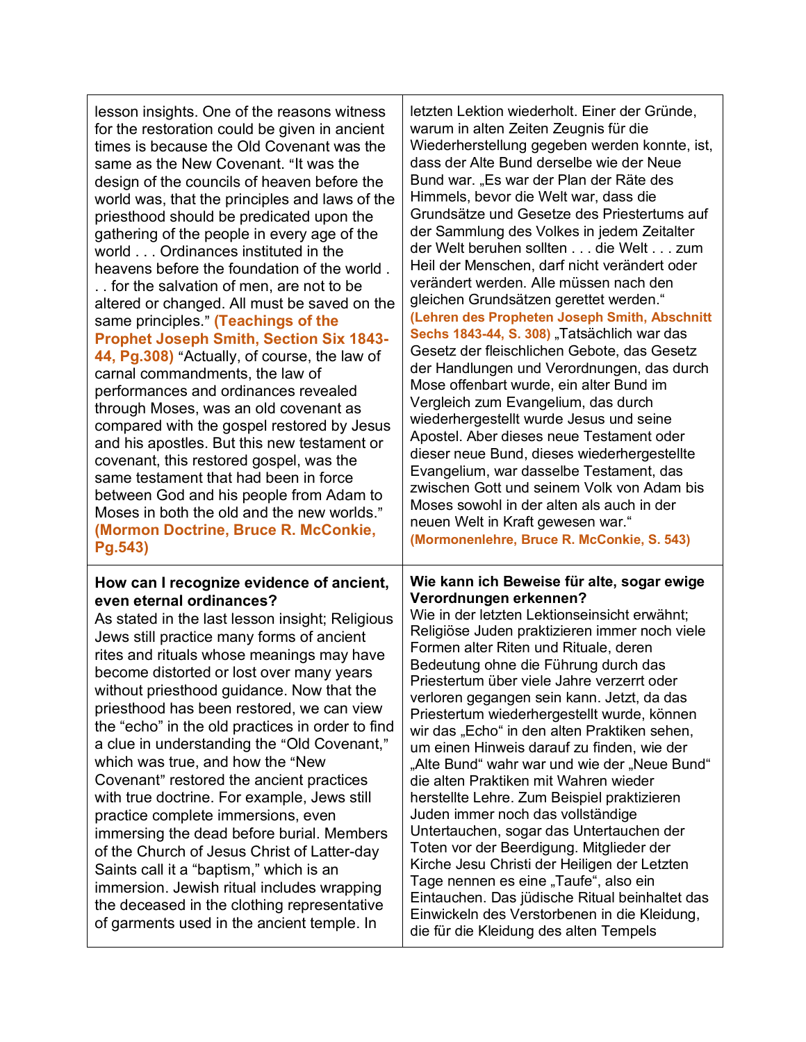| lesson insights. One of the reasons witness                                                                                                                                                                                                                                                                                                                                                                                                                                                                                                                                                                                                                                                                                                                                                                                                                                                                       | letzten Lektion wiederholt. Einer der Gründe,                                                                                                                                                                                                                                                                                                                                                                                                                                                                                                                                                                                                                                                                                                                                                                                                                                                                                                                                                             |
|-------------------------------------------------------------------------------------------------------------------------------------------------------------------------------------------------------------------------------------------------------------------------------------------------------------------------------------------------------------------------------------------------------------------------------------------------------------------------------------------------------------------------------------------------------------------------------------------------------------------------------------------------------------------------------------------------------------------------------------------------------------------------------------------------------------------------------------------------------------------------------------------------------------------|-----------------------------------------------------------------------------------------------------------------------------------------------------------------------------------------------------------------------------------------------------------------------------------------------------------------------------------------------------------------------------------------------------------------------------------------------------------------------------------------------------------------------------------------------------------------------------------------------------------------------------------------------------------------------------------------------------------------------------------------------------------------------------------------------------------------------------------------------------------------------------------------------------------------------------------------------------------------------------------------------------------|
| for the restoration could be given in ancient                                                                                                                                                                                                                                                                                                                                                                                                                                                                                                                                                                                                                                                                                                                                                                                                                                                                     | warum in alten Zeiten Zeugnis für die                                                                                                                                                                                                                                                                                                                                                                                                                                                                                                                                                                                                                                                                                                                                                                                                                                                                                                                                                                     |
| times is because the Old Covenant was the                                                                                                                                                                                                                                                                                                                                                                                                                                                                                                                                                                                                                                                                                                                                                                                                                                                                         | Wiederherstellung gegeben werden konnte, ist,                                                                                                                                                                                                                                                                                                                                                                                                                                                                                                                                                                                                                                                                                                                                                                                                                                                                                                                                                             |
| same as the New Covenant. "It was the                                                                                                                                                                                                                                                                                                                                                                                                                                                                                                                                                                                                                                                                                                                                                                                                                                                                             | dass der Alte Bund derselbe wie der Neue                                                                                                                                                                                                                                                                                                                                                                                                                                                                                                                                                                                                                                                                                                                                                                                                                                                                                                                                                                  |
| design of the councils of heaven before the                                                                                                                                                                                                                                                                                                                                                                                                                                                                                                                                                                                                                                                                                                                                                                                                                                                                       | Bund war. "Es war der Plan der Räte des                                                                                                                                                                                                                                                                                                                                                                                                                                                                                                                                                                                                                                                                                                                                                                                                                                                                                                                                                                   |
| world was, that the principles and laws of the                                                                                                                                                                                                                                                                                                                                                                                                                                                                                                                                                                                                                                                                                                                                                                                                                                                                    | Himmels, bevor die Welt war, dass die                                                                                                                                                                                                                                                                                                                                                                                                                                                                                                                                                                                                                                                                                                                                                                                                                                                                                                                                                                     |
| priesthood should be predicated upon the                                                                                                                                                                                                                                                                                                                                                                                                                                                                                                                                                                                                                                                                                                                                                                                                                                                                          | Grundsätze und Gesetze des Priestertums auf                                                                                                                                                                                                                                                                                                                                                                                                                                                                                                                                                                                                                                                                                                                                                                                                                                                                                                                                                               |
| gathering of the people in every age of the                                                                                                                                                                                                                                                                                                                                                                                                                                                                                                                                                                                                                                                                                                                                                                                                                                                                       | der Sammlung des Volkes in jedem Zeitalter                                                                                                                                                                                                                                                                                                                                                                                                                                                                                                                                                                                                                                                                                                                                                                                                                                                                                                                                                                |
| world Ordinances instituted in the                                                                                                                                                                                                                                                                                                                                                                                                                                                                                                                                                                                                                                                                                                                                                                                                                                                                                | der Welt beruhen sollten die Welt zum                                                                                                                                                                                                                                                                                                                                                                                                                                                                                                                                                                                                                                                                                                                                                                                                                                                                                                                                                                     |
| heavens before the foundation of the world.                                                                                                                                                                                                                                                                                                                                                                                                                                                                                                                                                                                                                                                                                                                                                                                                                                                                       | Heil der Menschen, darf nicht verändert oder                                                                                                                                                                                                                                                                                                                                                                                                                                                                                                                                                                                                                                                                                                                                                                                                                                                                                                                                                              |
| for the salvation of men, are not to be                                                                                                                                                                                                                                                                                                                                                                                                                                                                                                                                                                                                                                                                                                                                                                                                                                                                           | verändert werden. Alle müssen nach den                                                                                                                                                                                                                                                                                                                                                                                                                                                                                                                                                                                                                                                                                                                                                                                                                                                                                                                                                                    |
| altered or changed. All must be saved on the                                                                                                                                                                                                                                                                                                                                                                                                                                                                                                                                                                                                                                                                                                                                                                                                                                                                      | gleichen Grundsätzen gerettet werden."                                                                                                                                                                                                                                                                                                                                                                                                                                                                                                                                                                                                                                                                                                                                                                                                                                                                                                                                                                    |
| same principles." (Teachings of the                                                                                                                                                                                                                                                                                                                                                                                                                                                                                                                                                                                                                                                                                                                                                                                                                                                                               | (Lehren des Propheten Joseph Smith, Abschnitt                                                                                                                                                                                                                                                                                                                                                                                                                                                                                                                                                                                                                                                                                                                                                                                                                                                                                                                                                             |
| <b>Prophet Joseph Smith, Section Six 1843-</b>                                                                                                                                                                                                                                                                                                                                                                                                                                                                                                                                                                                                                                                                                                                                                                                                                                                                    | Sechs 1843-44, S. 308) "Tatsächlich war das                                                                                                                                                                                                                                                                                                                                                                                                                                                                                                                                                                                                                                                                                                                                                                                                                                                                                                                                                               |
| 44, Pg.308) "Actually, of course, the law of                                                                                                                                                                                                                                                                                                                                                                                                                                                                                                                                                                                                                                                                                                                                                                                                                                                                      | Gesetz der fleischlichen Gebote, das Gesetz                                                                                                                                                                                                                                                                                                                                                                                                                                                                                                                                                                                                                                                                                                                                                                                                                                                                                                                                                               |
| carnal commandments, the law of                                                                                                                                                                                                                                                                                                                                                                                                                                                                                                                                                                                                                                                                                                                                                                                                                                                                                   | der Handlungen und Verordnungen, das durch                                                                                                                                                                                                                                                                                                                                                                                                                                                                                                                                                                                                                                                                                                                                                                                                                                                                                                                                                                |
| performances and ordinances revealed                                                                                                                                                                                                                                                                                                                                                                                                                                                                                                                                                                                                                                                                                                                                                                                                                                                                              | Mose offenbart wurde, ein alter Bund im                                                                                                                                                                                                                                                                                                                                                                                                                                                                                                                                                                                                                                                                                                                                                                                                                                                                                                                                                                   |
| through Moses, was an old covenant as                                                                                                                                                                                                                                                                                                                                                                                                                                                                                                                                                                                                                                                                                                                                                                                                                                                                             | Vergleich zum Evangelium, das durch                                                                                                                                                                                                                                                                                                                                                                                                                                                                                                                                                                                                                                                                                                                                                                                                                                                                                                                                                                       |
| compared with the gospel restored by Jesus                                                                                                                                                                                                                                                                                                                                                                                                                                                                                                                                                                                                                                                                                                                                                                                                                                                                        | wiederhergestellt wurde Jesus und seine                                                                                                                                                                                                                                                                                                                                                                                                                                                                                                                                                                                                                                                                                                                                                                                                                                                                                                                                                                   |
| and his apostles. But this new testament or                                                                                                                                                                                                                                                                                                                                                                                                                                                                                                                                                                                                                                                                                                                                                                                                                                                                       | Apostel. Aber dieses neue Testament oder                                                                                                                                                                                                                                                                                                                                                                                                                                                                                                                                                                                                                                                                                                                                                                                                                                                                                                                                                                  |
| covenant, this restored gospel, was the                                                                                                                                                                                                                                                                                                                                                                                                                                                                                                                                                                                                                                                                                                                                                                                                                                                                           | dieser neue Bund, dieses wiederhergestellte                                                                                                                                                                                                                                                                                                                                                                                                                                                                                                                                                                                                                                                                                                                                                                                                                                                                                                                                                               |
| same testament that had been in force                                                                                                                                                                                                                                                                                                                                                                                                                                                                                                                                                                                                                                                                                                                                                                                                                                                                             | Evangelium, war dasselbe Testament, das                                                                                                                                                                                                                                                                                                                                                                                                                                                                                                                                                                                                                                                                                                                                                                                                                                                                                                                                                                   |
| between God and his people from Adam to                                                                                                                                                                                                                                                                                                                                                                                                                                                                                                                                                                                                                                                                                                                                                                                                                                                                           | zwischen Gott und seinem Volk von Adam bis                                                                                                                                                                                                                                                                                                                                                                                                                                                                                                                                                                                                                                                                                                                                                                                                                                                                                                                                                                |
| Moses in both the old and the new worlds."                                                                                                                                                                                                                                                                                                                                                                                                                                                                                                                                                                                                                                                                                                                                                                                                                                                                        | Moses sowohl in der alten als auch in der                                                                                                                                                                                                                                                                                                                                                                                                                                                                                                                                                                                                                                                                                                                                                                                                                                                                                                                                                                 |
| (Mormon Doctrine, Bruce R. McConkie,                                                                                                                                                                                                                                                                                                                                                                                                                                                                                                                                                                                                                                                                                                                                                                                                                                                                              | neuen Welt in Kraft gewesen war."                                                                                                                                                                                                                                                                                                                                                                                                                                                                                                                                                                                                                                                                                                                                                                                                                                                                                                                                                                         |
| Pg.543)                                                                                                                                                                                                                                                                                                                                                                                                                                                                                                                                                                                                                                                                                                                                                                                                                                                                                                           | (Mormonenlehre, Bruce R. McConkie, S. 543)                                                                                                                                                                                                                                                                                                                                                                                                                                                                                                                                                                                                                                                                                                                                                                                                                                                                                                                                                                |
| How can I recognize evidence of ancient,<br>even eternal ordinances?<br>As stated in the last lesson insight; Religious<br>Jews still practice many forms of ancient<br>rites and rituals whose meanings may have<br>become distorted or lost over many years<br>without priesthood guidance. Now that the<br>priesthood has been restored, we can view<br>the "echo" in the old practices in order to find<br>a clue in understanding the "Old Covenant,"<br>which was true, and how the "New<br>Covenant" restored the ancient practices<br>with true doctrine. For example, Jews still<br>practice complete immersions, even<br>immersing the dead before burial. Members<br>of the Church of Jesus Christ of Latter-day<br>Saints call it a "baptism," which is an<br>immersion. Jewish ritual includes wrapping<br>the deceased in the clothing representative<br>of garments used in the ancient temple. In | Wie kann ich Beweise für alte, sogar ewige<br>Verordnungen erkennen?<br>Wie in der letzten Lektionseinsicht erwähnt;<br>Religiöse Juden praktizieren immer noch viele<br>Formen alter Riten und Rituale, deren<br>Bedeutung ohne die Führung durch das<br>Priestertum über viele Jahre verzerrt oder<br>verloren gegangen sein kann. Jetzt, da das<br>Priestertum wiederhergestellt wurde, können<br>wir das "Echo" in den alten Praktiken sehen,<br>um einen Hinweis darauf zu finden, wie der<br>"Alte Bund" wahr war und wie der "Neue Bund"<br>die alten Praktiken mit Wahren wieder<br>herstellte Lehre. Zum Beispiel praktizieren<br>Juden immer noch das vollständige<br>Untertauchen, sogar das Untertauchen der<br>Toten vor der Beerdigung. Mitglieder der<br>Kirche Jesu Christi der Heiligen der Letzten<br>Tage nennen es eine "Taufe", also ein<br>Eintauchen. Das jüdische Ritual beinhaltet das<br>Einwickeln des Verstorbenen in die Kleidung,<br>die für die Kleidung des alten Tempels |

Τ